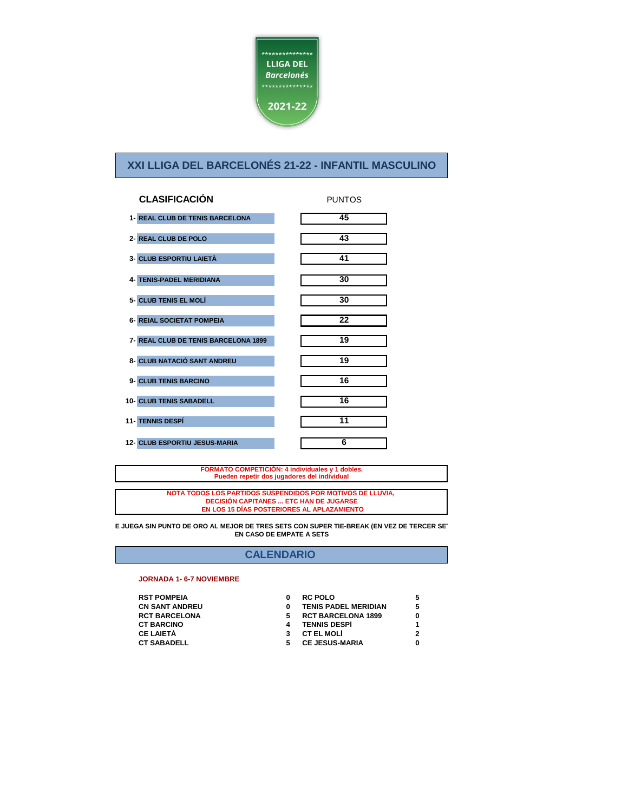

| <b>CLASIFICACIÓN</b>                 | <b>PUNTOS</b> |
|--------------------------------------|---------------|
| 1- REAL CLUB DE TENIS BARCELONA      | 45            |
| 2- REAL CLUB DE POLO                 | 43            |
| 3- CLUB ESPORTIU LAIETÀ              | 41            |
| <b>4- TENIS-PADEL MERIDIANA</b>      | 30            |
| 5- CLUB TENIS EL MOLÍ                | 30            |
| <b>6- REIAL SOCIETAT POMPEIA</b>     | 22            |
| 7- REAL CLUB DE TENIS BARCELONA 1899 | 19            |
| 8- CLUB NATACIÓ SANT ANDREU          | 19            |
| 9- CLUB TENIS BARCINO                | 16            |
| 10- CLUB TENIS SABADELL              | 16            |
| <b>11- TENNIS DESPÍ</b>              | 11            |
| 12- CLUB ESPORTIU JESUS-MARIA        | 6             |

**FORMATO COMPETICIÓN: 4 individuales y 1 dobles. Pueden repetir dos jugadores del individual**

**NOTA TODOS LOS PARTIDOS SUSPENDIDOS POR MOTIVOS DE LLUVIA, DECISIÓN CAPITANES ... ETC HAN DE JUGARSE EN LOS 15 DÍAS POSTERIORES AL APLAZAMIENTO**

**SE JUEGA SIN PUNTO DE ORO AL MEJOR DE TRES SETS CON SUPER TIE-BREAK (EN VEZ DE TERCER SET) EN CASO DE EMPATE A SETS**

## **CALENDARIO**

#### **JORNADA 1- 6-7 NOVIEMBRE**

| <b>RST POMPEIA</b>    |
|-----------------------|
| <b>CN SANT ANDREU</b> |
| <b>RCT BARCELONA</b>  |
| <b>CT BARCINO</b>     |
| <b>CE LAIETÀ</b>      |
| <b>CT SABADELL</b>    |

| <b>RST POMPEIA</b> | <b>RC POLO</b>              |   |
|--------------------|-----------------------------|---|
| CN SANT ANDREU     | <b>TENIS PADEL MERIDIAN</b> |   |
| RCT BARCELONA      | <b>RCT BARCELONA 1899</b>   | Ω |
| <b>CT BARCINO</b>  | <b>TENNIS DESPÍ</b>         |   |
| CE LAIETÀ          | <b>CT EL MOLÍ</b>           |   |
| <b>CT SABADELL</b> | <b>CE JESUS-MARIA</b>       | 0 |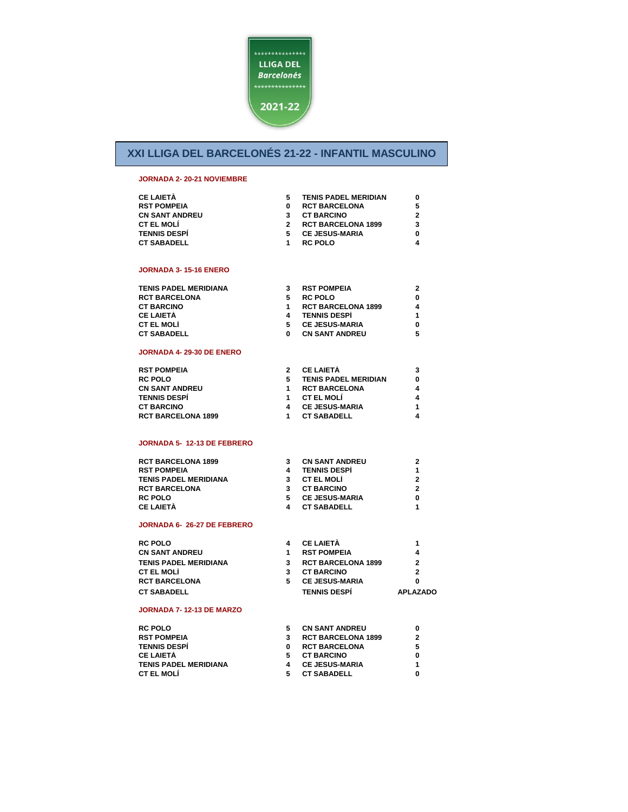

## **JORNADA 2- 20-21 NOVIEMBRE**

| <b>CE LAIETÀ</b>      | <b>TENIS PADEL MERIDIAN</b> |   |
|-----------------------|-----------------------------|---|
| <b>RST POMPEIA</b>    | <b>RCT BARCELONA</b>        |   |
| <b>CN SANT ANDREU</b> | <b>CT BARCINO</b>           |   |
| <b>CT EL MOLÍ</b>     | <b>RCT BARCELONA 1899</b>   | 3 |
| <b>TENNIS DESPÍ</b>   | <b>CE JESUS-MARIA</b>       |   |
| <b>CT SABADELL</b>    | <b>RC POLO</b>              |   |

#### **JORNADA 3- 15-16 ENERO**

| TENIS PADEL MERIDIANA | <b>RST POMPEIA</b>        | 2 |
|-----------------------|---------------------------|---|
| RCT BARCELONA         | <b>RC POLO</b>            | 0 |
| <b>CT BARCINO</b>     | <b>RCT BARCELONA 1899</b> | 4 |
| CE LAIETÀ             | <b>TENNIS DESPÍ</b>       |   |
| CT EL MOLÍ            | <b>CE JESUS-MARIA</b>     | 0 |
| CT SABADELL           | <b>CN SANT ANDREU</b>     | 5 |
|                       |                           |   |

#### **JORNADA 4- 29-30 DE ENERO**

| <b>RST POMPEIA</b>        | <b>CE LAIETÀ</b>            | з |
|---------------------------|-----------------------------|---|
| <b>RC POLO</b>            | <b>TENIS PADEL MERIDIAN</b> | 0 |
| <b>CN SANT ANDREU</b>     | <b>RCT BARCELONA</b>        | 4 |
| <b>TENNIS DESPÍ</b>       | <b>CT EL MOLÍ</b>           | 4 |
| <b>CT BARCINO</b>         | <b>CE JESUS-MARIA</b>       |   |
| <b>RCT BARCELONA 1899</b> | <b>CT SABADELL</b>          | 4 |

#### **JORNADA 5- 12-13 DE FEBRERO**

| <b>RCT BARCELONA 1899</b>    | <b>CN SANT ANDREU</b> | 2 |
|------------------------------|-----------------------|---|
| <b>RST POMPEIA</b>           | <b>TENNIS DESPÍ</b>   | 1 |
| <b>TENIS PADEL MERIDIANA</b> | <b>CT EL MOLÍ</b>     | 2 |
| <b>RCT BARCELONA</b>         | <b>CT BARCINO</b>     | 2 |
| <b>RC POLO</b>               | <b>CE JESUS-MARIA</b> | 0 |
| <b>CE LAIETÀ</b>             | <b>CT SABADELL</b>    |   |

### **JORNADA 6- 26-27 DE FEBRERO**

| <b>RC POLO</b>        | <b>CE LAIETÀ</b>          | 1               |
|-----------------------|---------------------------|-----------------|
| CN SANT ANDREU        | <b>RST POMPEIA</b>        | 4               |
| TENIS PADEL MERIDIANA | <b>RCT BARCELONA 1899</b> | 2               |
| CT EL MOLÍ            | <b>CT BARCINO</b>         | 2               |
| RCT BARCELONA         | <b>CE JESUS-MARIA</b>     | 0               |
| CT SABADELL           | <b>TENNIS DESPÍ</b>       | <b>APLAZADO</b> |

### **JORNADA 7- 12-13 DE MARZO**

| <b>RC POLO</b>               | <b>CN SANT ANDREU</b>     | 0            |
|------------------------------|---------------------------|--------------|
| <b>RST POMPEIA</b>           | <b>RCT BARCELONA 1899</b> | $\mathbf{2}$ |
| <b>TENNIS DESPÍ</b>          | <b>RCT BARCELONA</b>      | 5.           |
| <b>CE LAIETÀ</b>             | <b>CT BARCINO</b>         | 0            |
| <b>TENIS PADEL MERIDIANA</b> | <b>CE JESUS-MARIA</b>     |              |
| <b>CT EL MOLÍ</b>            | <b>CT SABADELL</b>        | 0            |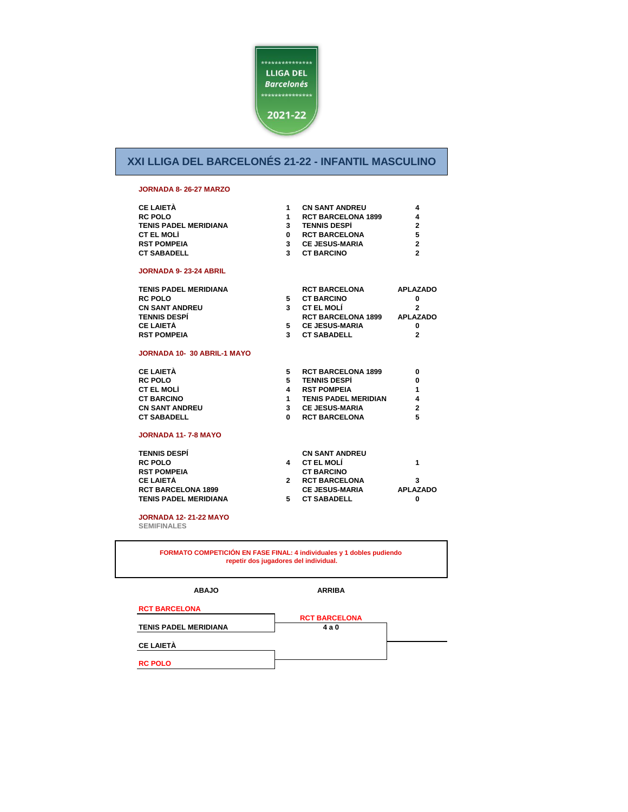

#### **JORNADA 8- 26-27 MARZO**

| <b>CE LAIETÀ</b>             | 1              | <b>CN SANT ANDREU</b>       | 4               |
|------------------------------|----------------|-----------------------------|-----------------|
| <b>RC POLO</b>               | 1              | <b>RCT BARCELONA 1899</b>   | 4               |
| <b>TENIS PADEL MERIDIANA</b> | $3^{\circ}$    | <b>TENNIS DESPÍ</b>         | $\overline{2}$  |
| <b>CT EL MOLÍ</b>            | $\mathbf{0}$   | <b>RCT BARCELONA</b>        | 5               |
| <b>RST POMPEIA</b>           |                | 3 CE JESUS-MARIA            | $\overline{2}$  |
| <b>CT SABADELL</b>           | 3              | <b>CT BARCINO</b>           | $\overline{2}$  |
| <b>JORNADA 9-23-24 ABRIL</b> |                |                             |                 |
| <b>TENIS PADEL MERIDIANA</b> |                | <b>RCT BARCELONA</b>        | <b>APLAZADO</b> |
| <b>RC POLO</b>               | 5              | <b>CT BARCINO</b>           | 0               |
| <b>CN SANT ANDREU</b>        | $3^{\circ}$    | <b>CT EL MOLÍ</b>           | $\overline{2}$  |
| <b>TENNIS DESPÍ</b>          |                | RCT BARCELONA 1899 APLAZADO |                 |
| <b>CE LAIETÀ</b>             | 5              | <b>CE JESUS-MARIA</b>       | 0               |
| <b>RST POMPEIA</b>           | $\mathbf{3}$   | <b>CT SABADELL</b>          | $\overline{2}$  |
| JORNADA 10-30 ABRIL-1 MAYO   |                |                             |                 |
| <b>CE LAIETÀ</b>             | 5.             | <b>RCT BARCELONA 1899</b>   | 0               |
| <b>RC POLO</b>               | 5              | <b>TENNIS DESPÍ</b>         | 0               |
| <b>CT EL MOLÍ</b>            |                | 4 RST POMPEIA               | 1               |
| <b>CT BARCINO</b>            | $1 \quad$      | <b>TENIS PADEL MERIDIAN</b> | 4               |
| <b>CN SANT ANDREU</b>        |                | 3 CE JESUS-MARIA            | $\overline{2}$  |
| <b>CT SABADELL</b>           | $\Omega$       | <b>RCT BARCELONA</b>        | 5               |
| <b>JORNADA 11-7-8 MAYO</b>   |                |                             |                 |
| <b>TENNIS DESPI</b>          |                | <b>CN SANT ANDREU</b>       |                 |
| <b>RC POLO</b>               | 4              | <b>CT EL MOLÍ</b>           | 1               |
| <b>RST POMPEIA</b>           |                | <b>CT BARCINO</b>           |                 |
| <b>CE LAIETÀ</b>             | $\overline{2}$ | <b>RCT BARCELONA</b>        | 3               |

## **RCT BARCELONA 1899**  $TENIS PADEL MERIDIANA$

**JORNADA 12- 21-22 MAYO** 

**SEMIFINALES**

|   | <b>CN SANT ANDREU</b> |                 |
|---|-----------------------|-----------------|
|   | <b>CT EL MOLÍ</b>     | 1               |
|   | <b>CT BARCINO</b>     |                 |
| 2 | <b>RCT BARCELONA</b>  | з               |
|   | <b>CE JESUS-MARIA</b> | <b>APLAZADO</b> |
| 5 | <b>CT SABADELL</b>    |                 |
|   |                       |                 |

**FORMATO COMPETICIÓN EN FASE FINAL: 4 individuales y 1 dobles pudiendo repetir dos jugadores del individual.**

**ABAJO**

**ARRIBA**